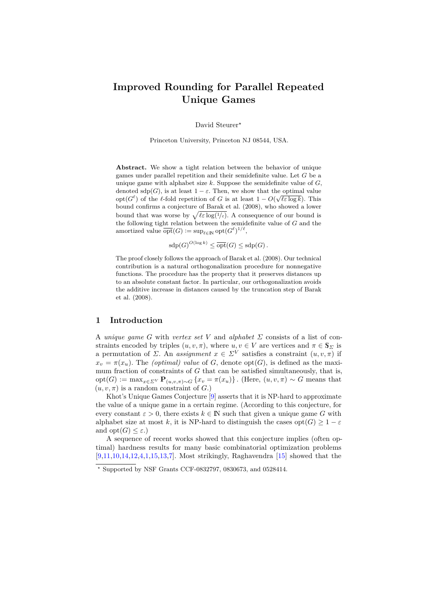# **Improved Rounding for Parallel Repeated Unique Games**

David Steurer*?*

Princeton University, Princeton NJ 08544, USA.

**Abstract.** We show a tight relation between the behavior of unique games under parallel repetition and their semidefinite value. Let *G* be a unique game with alphabet size *k*. Suppose the semidefinite value of *G*, denoted  $\text{sdp}(G)$ , is at least  $1 - \varepsilon$ . Then, we show that the optimal value opt $(G^{\ell})$  of the  $\ell$ -fold repetition of *G* is at least  $1 - O(\sqrt{\ell \varepsilon \log k})$ . This bound confirms a conjecture of Barak et al. (2008), who showed a lower bound that was worse by  $\sqrt{\ell \varepsilon \log(1/\varepsilon)}$ . A consequence of our bound is the following tight relation between the semidefinite value of *G* and the amortized value  $\overline{\text{opt}}(G) := \sup_{\ell \in \mathbb{N}} \text{opt}(G^{\ell})^{1/\ell},$ 

 $\operatorname{sdp}(G)^{O(\log k)} \leq \overline{\operatorname{opt}}(G) \leq \operatorname{sdp}(G)$ .

The proof closely follows the approach of Barak et al. (2008). Our technical contribution is a natural orthogonalization procedure for nonnegative functions. The procedure has the property that it preserves distances up to an absolute constant factor. In particular, our orthogonalization avoids the additive increase in distances caused by the truncation step of Barak et al. (2008).

# **1 Introduction**

A *unique game G* with *vertex set V* and *alphabet*  $\Sigma$  consists of a list of constraints encoded by triples  $(u, v, \pi)$ , where  $u, v \in V$  are vertices and  $\pi \in \mathbb{S}_{\Sigma}$  is a permutation of *Σ*. An *assignment*  $x \in \Sigma^V$  satisfies a constraint  $(u, v, \pi)$  if  $\overline{x}_v = \pi(x_v)$ . The *(optimal) value* of *G*, denote opt(*G*), is defined as the maximum fraction of constraints of *G* that can be satisfied simultaneously, that is, opt $(G) := \max_{x \in \Sigma^V} \mathbf{P}_{(u,v,\pi) \sim G} \{x_v = \pi(x_u)\}\$ . (Here,  $(u, v, \pi) \sim G$  means that  $(u, v, \pi)$  is a random constraint of *G*.)

Khot's Unique Games Conjecture [\[9\]](#page-12-0) asserts that it is NP-hard to approximate the value of a unique game in a certain regime. (According to this conjecture, for every constant  $\varepsilon > 0$ , there exists  $k \in \mathbb{N}$  such that given a unique game G with alphabet size at most *k*, it is NP-hard to distinguish the cases opt $(G) \geq 1 - \varepsilon$ and  $opt(G) \leq \varepsilon$ .)

A sequence of recent works showed that this conjecture implies (often optimal) hardness results for many basic combinatorial optimization problems [\[9,](#page-12-0)[11](#page-12-1)[,10](#page-12-2)[,14,](#page-12-3)[12,](#page-12-4)[4,](#page-11-0)[1](#page-11-1)[,15](#page-12-5)[,13,](#page-12-6)[7\]](#page-12-7). Most strikingly, Raghavendra [\[15\]](#page-12-5) showed that the

*<sup>?</sup>* Supported by NSF Grants CCF-0832797, 0830673, and 0528414.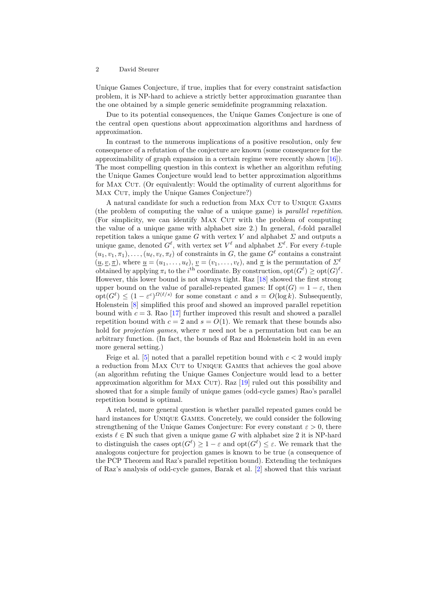Unique Games Conjecture, if true, implies that for every constraint satisfaction problem, it is NP-hard to achieve a strictly better approximation guarantee than the one obtained by a simple generic semidefinite programming relaxation.

Due to its potential consequences, the Unique Games Conjecture is one of the central open questions about approximation algorithms and hardness of approximation.

In contrast to the numerous implications of a positive resolution, only few consequence of a refutation of the conjecture are known (some consequence for the approximability of graph expansion in a certain regime were recently shown [\[16\]](#page-12-8)). The most compelling question in this context is whether an algorithm refuting the Unique Games Conjecture would lead to better approximation algorithms for MAX CUT. (Or equivalently: Would the optimality of current algorithms for MAX CUT, imply the Unique Games Conjecture?)

A natural candidate for such a reduction from MAX CUT to UNIQUE GAMES (the problem of computing the value of a unique game) is *parallel repetition*. (For simplicity, we can identify MAX CUT with the problem of computing the value of a unique game with alphabet size 2.) In general,  $\ell$ -fold parallel repetition takes a unique game *G* with vertex *V* and alphabet  $\Sigma$  and outputs a unique game, denoted  $G^{\ell}$ , with vertex set  $V^{\ell}$  and alphabet  $\Sigma^{\ell}$ . For every  $\ell$ -tuple  $(u_1, v_1, \pi_1), \ldots, (u_\ell, v_\ell, \pi_\ell)$  of constraints in *G*, the game  $G^\ell$  contains a constraint  $(u, v, \pi)$ , where  $u = (u_1, \ldots, u_\ell)$ ,  $v = (v_1, \ldots, v_\ell)$ , and  $\pi$  is the permutation of  $\Sigma^{\ell}$ obtained by applying  $\pi_i$  to the *i*<sup>th</sup> coordinate. By construction,  $opt(G^{\ell}) \geq opt(G)^{\ell}$ . However, this lower bound is not always tight. Raz [\[18\]](#page-12-9) showed the first strong upper bound on the value of parallel-repeated games: If  $opt(G) = 1 - \varepsilon$ , then  $\text{opt}(G^{\ell}) \leq (1 - \varepsilon^{c})^{\Omega(\ell/s)}$  for some constant *c* and  $s = O(\log k)$ . Subsequently, Holenstein [\[8\]](#page-12-10) simplified this proof and showed an improved parallel repetition bound with  $c = 3$ . Rao [\[17\]](#page-12-11) further improved this result and showed a parallel repetition bound with  $c = 2$  and  $s = O(1)$ . We remark that these bounds also hold for *projection games*, where  $\pi$  need not be a permutation but can be an arbitrary function. (In fact, the bounds of Raz and Holenstein hold in an even more general setting.)

Feige et al. [\[5\]](#page-11-2) noted that a parallel repetition bound with *c <* 2 would imply a reduction from MAX CUT to UNIQUE GAMES that achieves the goal above (an algorithm refuting the Unique Games Conjecture would lead to a better approximation algorithm for MAX CUT). Raz  $[19]$  ruled out this possibility and showed that for a simple family of unique games (odd-cycle games) Rao's parallel repetition bound is optimal.

A related, more general question is whether parallel repeated games could be hard instances for Unique Games. Concretely, we could consider the following strengthening of the Unique Games Conjecture: For every constant  $\varepsilon > 0$ , there exists  $\ell \in \mathbb{N}$  such that given a unique game *G* with alphabet size 2 it is NP-hard to distinguish the cases  $opt(G^{\ell}) \geq 1 - \varepsilon$  and  $opt(G^{\ell}) \leq \varepsilon$ . We remark that the analogous conjecture for projection games is known to be true (a consequence of the PCP Theorem and Raz's parallel repetition bound). Extending the techniques of Raz's analysis of odd-cycle games, Barak et al. [\[2\]](#page-11-3) showed that this variant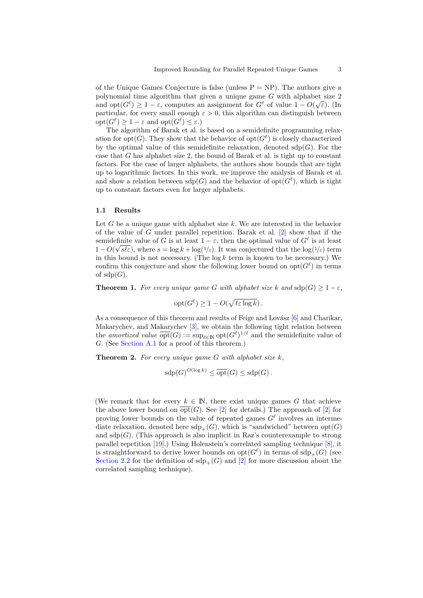of the Unique Games Conjecture is false (unless  $P = NP$ ). The authors give a polynomial time algorithm that given a unique game *G* with alphabet size 2 polynomial time algorithm that given a unique game  $G$  with alphabet size 2 and opt $(G^\ell) \geq 1 - \varepsilon$ , computes an assignment for  $G^\ell$  of value  $1 - O(\sqrt{\varepsilon})$ . (In particular, for every small enough  $\varepsilon > 0$ , this algorithm can distinguish between  $\mathrm{opt}(G^{\ell}) \geq 1 - \varepsilon$  and  $\mathrm{opt}(G^{\ell}) \leq \varepsilon$ .)

The algorithm of Barak et al. is based on a semidefinite programming relaxation for opt $(G)$ . They show that the behavior of opt $(G^{\ell})$  is closely characterized by the optimal value of this semidefinite relaxation, denoted  $\text{sdp}(G)$ . For the case that *G* has alphabet size 2, the bound of Barak et al. is tight up to constant factors. For the case of larger alphabets, the authors show bounds that are tight up to logarithmic factors. In this work, we improve the analysis of Barak et al. and show a relation between  $\text{sdp}(G)$  and the behavior of  $\text{opt}(G^{\ell})$ , which is tight up to constant factors even for larger alphabets.

#### **1.1 Results**

Let *G* be a unique game with alphabet size *k*. We are interested in the behavior of the value of *G* under parallel repetition. Barak et al. [\[2\]](#page-11-3) show that if the semidefinite value of *G* is at least  $1 - \varepsilon$ , then the optimal value of  $G^{\ell}$  is at least  $1 - O(\sqrt{s\ell\varepsilon})$ , where  $s = \log k + \log(1/\varepsilon)$ . It was conjectured that the  $\log(1/\varepsilon)$  term in this bound is not necessary. (The  $\log k$  term is known to be necessary.) We confirm this conjecture and show the following lower bound on  $opt(G^{\ell})$  in terms of  $sdp(G)$ .

<span id="page-2-0"></span>**Theorem 1.** For every unique game G with alphabet size k and  $\text{sdp}(G) > 1 - \varepsilon$ ,

$$
opt(G^{\ell}) \ge 1 - O(\sqrt{\ell \varepsilon \log k}).
$$

As a consequence of this theorem and results of Feige and Lovász  $[6]$  and Charikar, Makarychev, and Makarychev [\[3\]](#page-11-5), we obtain the following tight relation between the *amortized value*  $\overline{\text{opt}}(G) := \sup_{\ell \in \mathbb{N}} \text{opt}(G^{\ell})^{1/\ell}$  and the semidefinite value of *G*. (See [Section A.1](#page-12-13) for a proof of this theorem.)

<span id="page-2-1"></span>**Theorem 2.** *For every unique game G with alphabet size k,*

$$
\text{sdp}(G)^{O(\log k)} \le \overline{\text{opt}}(G) \le \text{sdp}(G).
$$

(We remark that for every  $k \in \mathbb{N}$ , there exist unique games G that achieve the above lower bound on  $\overline{opt}(G)$ . See [\[2\]](#page-11-3) for details.) The approach of [2] for proving lower bounds on the value of repeated games  $G^{\ell}$  involves an intermediate relaxation, denoted here  $\text{sdp}_{+}(G)$ , which is "sandwiched" between  $\text{opt}(G)$ and  $\text{sdp}(G)$ . (This approach is also implicit in Raz's counterexample to strong parallel repetition [\[19\]](#page-12-12).) Using Holenstein's correlated sampling technique [\[8\]](#page-12-10), it is straightforward to derive lower bounds on  $opt(G^{\ell})$  in terms of  $\text{sdp}_{+}(G)$  (see [Section 2.2](#page-5-0) for the definition of  $\text{sdp}_{+}(G)$  and [\[2\]](#page-11-3) for more discussion about the correlated sampling technique).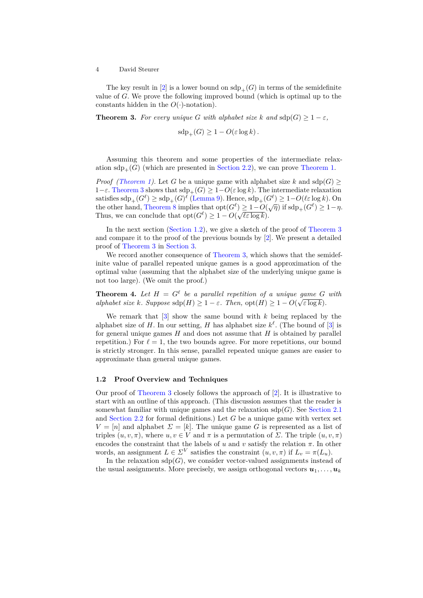The key result in [\[2\]](#page-11-3) is a lower bound on  $\text{sdp}_{+}(G)$  in terms of the semidefinite value of *G*. We prove the following improved bound (which is optimal up to the constants hidden in the  $O(·)$ -notation).

**Theorem 3.** *For every unique G with alphabet size k and*  $\text{sdp}(G) \geq 1 - \varepsilon$ *,* 

<span id="page-3-0"></span>
$$
\operatorname{sdp}_+(G) \ge 1 - O(\varepsilon \log k).
$$

Assuming this theorem and some properties of the intermediate relaxation  $\text{sdp}_+(G)$  (which are presented in [Section 2.2\)](#page-5-0), we can prove [Theorem 1.](#page-2-0)

*Proof [\(Theorem 1\)](#page-2-0).* Let *G* be a unique game with alphabet size *k* and sdp(*G*) ≥ 1−*ε*. [Theorem 3](#page-3-0) shows that  $sdp_{+}(G) \geq 1 - O(\varepsilon \log k)$ . The intermediate relaxation  $\text{satisfies } \text{sdp}_+(G^\ell) \geq \text{sdp}_+(G)^\ell \text{ (Lemma 9). Hence, } \text{sdp}_+(G^\ell) \geq 1-O(\ell \varepsilon \log k)$  $\text{satisfies } \text{sdp}_+(G^\ell) \geq \text{sdp}_+(G)^\ell \text{ (Lemma 9). Hence, } \text{sdp}_+(G^\ell) \geq 1-O(\ell \varepsilon \log k)$  $\text{satisfies } \text{sdp}_+(G^\ell) \geq \text{sdp}_+(G)^\ell \text{ (Lemma 9). Hence, } \text{sdp}_+(G^\ell) \geq 1-O(\ell \varepsilon \log k)$ . On the other hand, [Theorem 8](#page-6-1) implies that  $opt(G^{\ell}) \geq 1-O(\sqrt{\eta})$  if  $sdp_{+}(G^{\ell}) \geq 1-\eta$ . Thus, we can conclude that  $opt(G^{\ell}) \geq 1 - O(\sqrt{\ell \varepsilon \log k}).$ 

In the next section [\(Section 1.2\)](#page-3-1), we give a sketch of the proof of [Theorem 3](#page-3-0) and compare it to the proof of the previous bounds by [\[2\]](#page-11-3). We present a detailed proof of [Theorem 3](#page-3-0) in [Section 3.](#page-7-0)

We record another consequence of [Theorem 3,](#page-3-0) which shows that the semideinite value of parallel repeated unique games is a good approximation of the optimal value (assuming that the alphabet size of the underlying unique game is not too large). (We omit the proof.)

**Theorem 4.** Let  $H = G^{\ell}$  be a parallel repetition of a unique game  $G$  with *alphabet size k. Suppose*  $\text{sdp}(H) \geq 1 - \varepsilon$ *. Then,*  $\text{opt}(H) \geq 1 - O(\sqrt{\varepsilon \log k})$ *.* 

We remark that [\[3\]](#page-11-5) show the same bound with *k* being replaced by the alphabet size of *H*. In our setting, *H* has alphabet size  $k^{\ell}$ . (The bound of [\[3\]](#page-11-5) is for general unique games *H* and does not assume that *H* is obtained by parallel repetition.) For  $\ell = 1$ , the two bounds agree. For more repetitions, our bound is strictly stronger. In this sense, parallel repeated unique games are easier to approximate than general unique games.

#### <span id="page-3-1"></span>**1.2 Proof Overview and Techniques**

Our proof of [Theorem 3](#page-3-0) closely follows the approach of [\[2\]](#page-11-3). It is illustrative to start with an outline of this approach. (This discussion assumes that the reader is somewhat familiar with unique games and the relaxation  $\text{sdp}(G)$ . See [Section 2.1](#page-5-1) and [Section 2.2](#page-5-0) for formal definitions.) Let *G* be a unique game with vertex set  $V = [n]$  and alphabet  $\Sigma = [k]$ . The unique game *G* is represented as a list of triples  $(u, v, \pi)$ , where  $u, v \in V$  and  $\pi$  is a permutation of  $\Sigma$ . The triple  $(u, v, \pi)$ encodes the constraint that the labels of  $u$  and  $v$  satisfy the relation  $\pi$ . In other words, an assignment  $L \in \Sigma^V$  satisfies the constraint  $(u, v, \pi)$  if  $L_v = \pi(L_u)$ .

In the relaxation  $\text{sdp}(G)$ , we consider vector-valued assignments instead of the usual assignments. More precisely, we assign orthogonal vectors  $u_1, \ldots, u_k$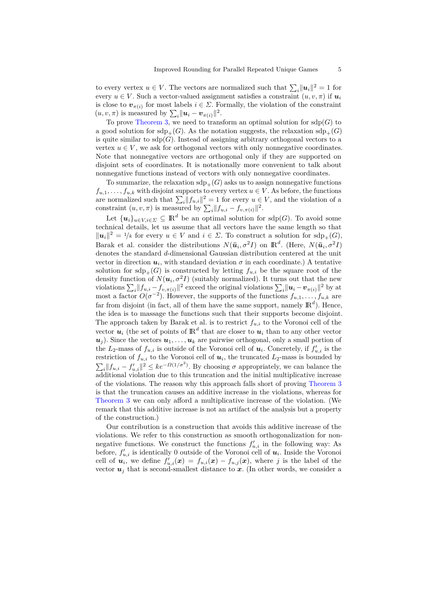to every vertex  $u \in V$ . The vectors are normalized such that  $\sum_{i} ||u_i||^2 = 1$  for every  $u \in V$ . Such a vector-valued assignment satisfies a constraint  $(u, v, \pi)$  if  $u_i$ is close to  $v_{\pi(i)}$  for most labels  $i \in \Sigma$ . Formally, the violation of the constraint  $(u, v, \pi)$  is measured by  $\sum_i ||u_i - v_{\pi(i)}||^2$ .

To prove [Theorem 3,](#page-3-0) we need to transform an optimal solution for  $\text{sdp}(G)$  to a good solution for sdp<sub>+</sub>(*G*). As the notation suggests, the relaxation sdp<sub>+</sub>(*G*) is quite similar to  $\text{sdp}(G)$ . Instead of assigning arbitrary orthogonal vectors to a vertex  $u \in V$ , we ask for orthogonal vectors with only nonnegative coordinates. Note that nonnegative vectors are orthogonal only if they are supported on disjoint sets of coordinates. It is notationally more convenient to talk about nonnegative functions instead of vectors with only nonnegative coordinates.

To summarize, the relaxation  $\text{sdp}_{+}(G)$  asks us to assign nonnegative functions  $f_{u,1}, \ldots, f_{u,k}$  with disjoint supports to every vertex  $u \in V$ . As before, the functions are normalized such that  $\sum_{i} ||f_{u,i}||^2 = 1$  for every  $u \in V$ , and the violation of a constraint  $(u, v, \pi)$  is measured by  $\sum_{i} ||f_{u,i} - f_{v,\pi(i)}||^2$ .

Let  $\{u_i\}_{u \in V, i \in \Sigma} \subseteq \mathbb{R}^d$  be an optimal solution for sdp(*G*). To avoid some technical details, let us assume that all vectors have the same length so that  $||u_i||^2 = 1/k$  for every  $u \in V$  and  $i \in \Sigma$ . To construct a solution for  $\text{sdp}_+(G)$ , Barak et al. consider the distributions  $N(\bar{u}_i, \sigma^2 I)$  on  $\mathbb{R}^d$ . (Here,  $N(\bar{u}_i, \sigma^2 I)$ denotes the standard *d*-dimensional Gaussian distribution centered at the unit vector in direction  $u_i$ , with standard deviation  $\sigma$  in each coordinate.) A tentative solution for  $\text{sdp}_{+}(G)$  is constructed by letting  $f_{u,i}$  be the square root of the density function of  $N(\mathbf{u}_i, \sigma^2 I)$  (suitably normalized). It turns out that the new violations  $\sum_i ||f_{u,i} - f_{v,\pi(i)}||^2$  exceed the original violations  $\sum_i ||u_i - v_{\pi(i)}||^2$  by at most a factor  $O(\sigma^{-2})$ . However, the supports of the functions  $f_{u,1}, \ldots, f_{u,k}$  are far from disjoint (in fact, all of them have the same support, namely  $\mathbb{R}^d$ ). Hence, the idea is to massage the functions such that their supports become disjoint. The approach taken by Barak et al. is to restrict  $f_{u,i}$  to the Voronoi cell of the vector  $u_i$  (the set of points of  $\mathbb{R}^d$  that are closer to  $u_i$  than to any other vector  $u_j$ ). Since the vectors  $u_1, \ldots, u_k$  are pairwise orthogonal, only a small portion of the  $L_2$ -mass of  $f_{u,i}$  is outside of the Voronoi cell of  $u_i$ . Concretely, if  $f'_{u,i}$  is the restriction of  $f_{u,i}$  to the Voronoi cell of  $u_i$ , the truncated  $L_2$ -mass is bounded by  $\sum_i ||f_{u,i} - f'_{u,i}||^2 \leq k e^{-\Omega(1/\sigma^2)}$ . By choosing  $\sigma$  appropriately, we can balance the additional violation due to this truncation and the initial multiplicative increase of the violations. The reason why this approach falls short of proving [Theorem 3](#page-3-0) is that the truncation causes an additive increase in the violations, whereas for [Theorem 3](#page-3-0) we can only afford a multiplicative increase of the violation. (We remark that this additive increase is not an artifact of the analysis but a property of the construction.)

Our contribution is a construction that avoids this additive increase of the violations. We refer to this construction as smooth orthogonalization for nonnegative functions. We construct the functions  $f'_{u,i}$  in the following way: As before,  $f'_{u,i}$  is identically 0 outside of the Voronoi cell of  $u_i$ . Inside the Voronoi cell of  $\mathbf{u}_i$ , we define  $f'_{u,i}(\mathbf{x}) = f_{u,i}(\mathbf{x}) - f_{u,j}(\mathbf{x})$ , where *j* is the label of the vector  $u_j$  that is second-smallest distance to  $x$ . (In other words, we consider a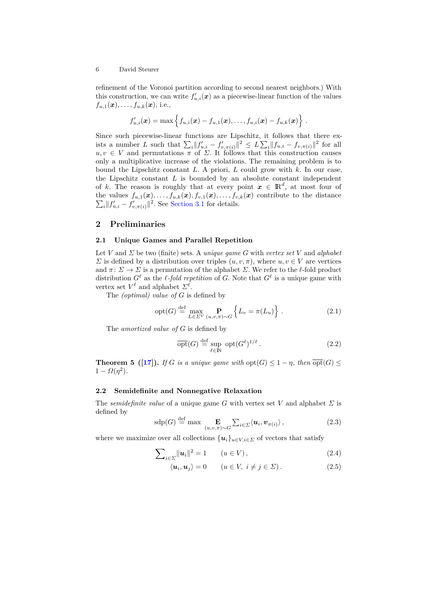refinement of the Voronoi partition according to second nearest neighbors.) With this construction, we can write  $f'_{u,i}(\boldsymbol{x})$  as a piecewise-linear function of the values  $f_{u,1}(\mathbf{x}), \ldots, f_{u,k}(\mathbf{x}),$  i.e.,

$$
f'_{u,i}(\boldsymbol{x}) = \max \left\{ f_{u,i}(\boldsymbol{x}) - f_{u,1}(\boldsymbol{x}), \ldots, f_{u,i}(\boldsymbol{x}) - f_{u,k}(\boldsymbol{x}) \right\}.
$$

Since such piecewise-linear functions are Lipschitz, it follows that there exists a number *L* such that  $\sum_i ||f'_{u,i} - f'_{v,\pi(i)}||^2 \leq L \sum_i ||f_{u,i} - f_{v,\pi(i)}||^2$  for all  $u, v \in V$  and permutations  $\pi$  of  $\Sigma$ . It follows that this construction causes only a multiplicative increase of the violations. The remaining problem is to bound the Lipschitz constant *L*. A priori, *L* could grow with *k*. In our case, the Lipschitz constant *L* is bounded by an absolute constant independent of *k*. The reason is roughly that at every point  $x \in \mathbb{R}^d$ , at most four of the values  $f_{u,1}(\mathbf{x}), \ldots, f_{u,k}(\mathbf{x}), f_{v,1}(\mathbf{x}), \ldots, f_{v,k}(\mathbf{x})$  contribute to the distance  $\sum_{i} ||f'_{u,i} - f'_{v,\pi(i)}||^2$ . See [Section 3.1](#page-8-0) for details.

# **2 Preliminaries**

#### <span id="page-5-1"></span>**2.1 Unique Games and Parallel Repetition**

Let *V* and *Σ* be two (finite) sets. A *unique game G* with *vertex set V* and *alphabet Σ* is defined by a distribution over triples  $(u, v, π)$ , where  $u, v \in V$  are vertices and  $\pi: \Sigma \to \Sigma$  is a permutation of the alphabet  $\Sigma$ . We refer to the  $\ell$ -fold product distribution  $G^{\ell}$  as the  $\ell$ -fold repetition of *G*. Note that  $G^{\ell}$  is a unique game with vertex set  $V^{\ell}$  and alphabet  $\Sigma^{\ell}$ .

The *(optimal) value of G* is defined by

$$
opt(G) \stackrel{\text{def}}{=} \max_{L \in \Sigma^V} \mathbf{P}_{(u,v,\pi) \sim G} \left\{ L_v = \pi(L_u) \right\}.
$$
 (2.1)

The *amortized value of G* is defined by

$$
\overline{\text{opt}}(G) \stackrel{\text{def}}{=} \sup_{\ell \in \mathbb{N}} \text{ opt}(G^{\ell})^{1/\ell}. \tag{2.2}
$$

<span id="page-5-2"></span>**Theorem 5** ([\[17\]](#page-12-11)). *If G is a unique game with*  $opt(G) \leq 1 - \eta$ *, then*  $opt(G) \leq$  $1 - \Omega(\eta^2)$ .

### <span id="page-5-0"></span>**2.2 Semidefinite and Nonnegative Relaxation**

The *semidefinite value* of a unique game *G* with vertex set *V* and alphabet *Σ* is defined by

$$
\mathrm{sdp}(G) \stackrel{\mathrm{def}}{=} \max \mathop{\mathbf{E}}_{(u,v,\pi)\sim G} \sum_{i\in\mathcal{L}} \langle \mathbf{u}_i, \mathbf{v}_{\pi(i)} \rangle, \tag{2.3}
$$

where we maximize over all collections  ${u_i}_{u \in V, i \in \Sigma}$  of vectors that satisfy

$$
\sum_{i \in \Sigma} ||u_i||^2 = 1 \qquad (u \in V), \tag{2.4}
$$

$$
\langle \mathbf{u}_i, \mathbf{u}_j \rangle = 0 \qquad (u \in V, \ i \neq j \in \Sigma). \tag{2.5}
$$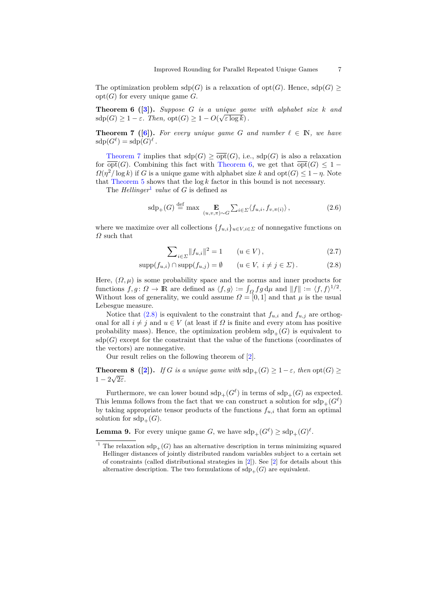<span id="page-6-3"></span>The optimization problem  $\text{sdp}(G)$  is a relaxation of  $\text{opt}(G)$ . Hence,  $\text{sdp}(G) \ge$ opt(*G*) for every unique game *G*.

**Theorem 6** ([\[3\]](#page-11-5)). Suppose *G* is a unique game with alphabet size *k* and  $\operatorname{sdp}(G) \geq 1 - \varepsilon$ *. Then,*  $\operatorname{opt}(G) \geq 1 - O(\sqrt{\varepsilon \log k})$ .

<span id="page-6-2"></span>**Theorem 7** ([\[6\]](#page-11-4)). For every unique game G and number  $\ell \in \mathbb{N}$ , we have  $\operatorname{sdp}(G^{\ell}) = \operatorname{sdp}(G)^{\ell}.$ 

[Theorem 7](#page-6-2) implies that  $\text{sdp}(G) \geq \overline{\text{opt}}(G)$ , i.e.,  $\text{sdp}(G)$  is also a relaxation for  $\overline{opt}(G)$ . Combining this fact with [Theorem 6,](#page-6-3) we get that  $\overline{opt}(G) \leq 1$  $Q(\eta^2/\log k)$  if *G* is a unique game with alphabet size *k* and  $opt(G) \leq 1 - \eta$ . Note that Theorem  $5$  shows that the  $\log k$  factor in this bound is not necessary.

The *Hellinger*<sup>[1](#page-6-4)</sup> value of  $G$  is defined as

$$
\mathrm{sdp}_{+}(G) \stackrel{\text{def}}{=} \max \mathop{\mathbf{E}}_{(u,v,\pi)\sim G} \sum_{i\in\Sigma} \langle f_{u,i}, f_{v,\pi(i)} \rangle, \tag{2.6}
$$

where we maximize over all collections  ${f_{u,i}}_{u \in V, i \in \Sigma}$  of nonnegative functions on *Ω* such that

<span id="page-6-5"></span><span id="page-6-1"></span>
$$
\sum_{i \in \Sigma} ||f_{u,i}||^2 = 1 \qquad (u \in V), \tag{2.7}
$$

$$
supp(f_{u,i}) \cap supp(f_{u,j}) = \emptyset \qquad (u \in V, \ i \neq j \in \Sigma). \tag{2.8}
$$

Here,  $(\Omega, \mu)$  is some probability space and the norms and inner products for functions  $f, g: \Omega \to \mathbb{R}$  are defined as  $\langle f, g \rangle := \int_{\Omega} fg \, d\mu$  and  $||f|| := \langle f, f \rangle^{1/2}$ . Without loss of generality, we could assume  $\Omega = [0, 1]$  and that  $\mu$  is the usual Lebesgue measure.

Notice that  $(2.8)$  is equivalent to the constraint that  $f_{u,i}$  and  $f_{u,j}$  are orthogonal for all  $i \neq j$  and  $u \in V$  (at least if  $\Omega$  is finite and every atom has positive probability mass). Hence, the optimization problem  $\text{sdp}_{+}(G)$  is equivalent to  $sdp(G)$  except for the constraint that the value of the functions (coordinates of the vectors) are nonnegative.

Our result relies on the following theorem of [\[2\]](#page-11-3).

**Theorem 8** ([\[2\]](#page-11-3)). *If G is a unique game with*  $sdp_+(G) \geq 1 - \varepsilon$ *, then*  $opt(G) \geq 1 - \varepsilon$  $1 - 2\sqrt{2\varepsilon}$ .

Furthermore, we can lower bound  $\text{sdp}_{+}(G^{\ell})$  in terms of  $\text{sdp}_{+}(G)$  as expected. This lemma follows from the fact that we can construct a solution for  $\text{sdp}_+(G^\ell)$ by taking appropriate tensor products of the functions  $f_{u,i}$  that form an optimal solution for  $\text{sdp}_+(G)$ .

<span id="page-6-0"></span>**Lemma 9.** For every unique game *G*, we have  $\mathrm{sdp}_+(G^\ell) \geq \mathrm{sdp}_+(G)^\ell$ .

<span id="page-6-4"></span><sup>&</sup>lt;sup>1</sup> The relaxation  $\text{sdp}_{+}(G)$  has an alternative description in terms minimizing squared Hellinger distances of jointly distributed random variables subject to a certain set of constraints (called distributional strategies in [\[2\]](#page-11-3)). See [\[2\]](#page-11-3) for details about this alternative description. The two formulations of  $\text{sdp}_+(G)$  are equivalent.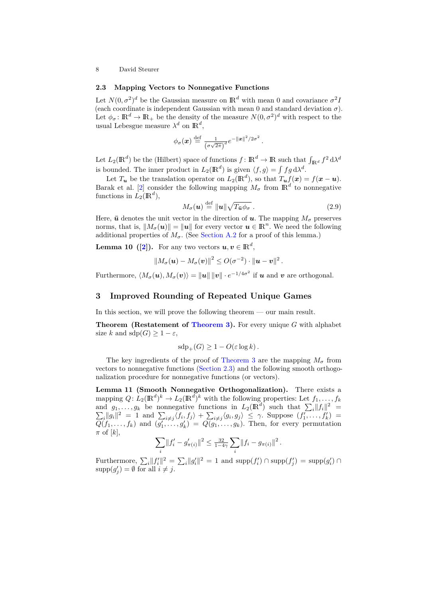#### <span id="page-7-1"></span>**2.3 Mapping Vectors to Nonnegative Functions**

Let  $N(0, \sigma^2)^d$  be the Gaussian measure on  $\mathbb{R}^d$  with mean 0 and covariance  $\sigma^2 I$ (each coordinate is independent Gaussian with mean 0 and standard deviation  $\sigma$ ). Let  $\phi_{\sigma} \colon \mathbb{R}^d \to \mathbb{R}_+$  be the density of the measure  $N(0, \sigma^2)^d$  with respect to the usual Lebesgue measure  $\lambda^d$  on  $\mathbb{R}^d$ ,

$$
\phi_{\sigma}(\boldsymbol{x}) \stackrel{\text{def}}{=} \frac{1}{(\sigma\sqrt{2\pi})^d} e^{-\|\boldsymbol{x}\|^2/2\sigma^2}
$$

Let  $L_2(\mathbb{R}^d)$  be the (Hilbert) space of functions  $f: \mathbb{R}^d \to \mathbb{R}$  such that  $\int_{\mathbb{R}^d} f^2 d\lambda^d$ is bounded. The inner product in  $L_2(\mathbb{R}^d)$  is given  $\langle f, g \rangle = \int f g d\lambda^d$ .

Let  $T_u$  be the translation operator on  $L_2(\mathbb{R}^d)$ , so that  $T_u f(x) = f(x - u)$ . Barak et al. [\[2\]](#page-11-3) consider the following mapping  $M_{\sigma}$  from  $\mathbb{R}^d$  to nonnegative functions in  $\overline{L_2}(\mathbb{R}^d)$ ,

$$
M_{\sigma}(\mathbf{u}) \stackrel{\text{def}}{=} \|\mathbf{u}\| \sqrt{T_{\bar{\mathbf{u}}}\phi_{\sigma}}.
$$
 (2.9)

<span id="page-7-3"></span>*.*

Here,  $\bar{u}$  denotes the unit vector in the direction of  $u$ . The mapping  $M_{\sigma}$  preserves norms, that is,  $||M_{\sigma}(\boldsymbol{u})|| = ||\boldsymbol{u}||$  for every vector  $\boldsymbol{u} \in \mathbb{R}^n$ . We need the following additional properties of  $M_{\sigma}$ . (See [Section A.2](#page-13-0) for a proof of this lemma.)

**Lemma 10** ([\[2\]](#page-11-3)). For any two vectors  $u, v \in \mathbb{R}^d$ ,

$$
\left\|M_{\sigma}(\boldsymbol{u})-M_{\sigma}(\boldsymbol{v})\right\|^2\leq O(\sigma^{-2})\cdot\|\boldsymbol{u}-\boldsymbol{v}\|^2.
$$

Furthermore,  $\langle M_{\sigma}(\boldsymbol{u}), M_{\sigma}(\boldsymbol{v}) \rangle = ||\boldsymbol{u}|| \, ||\boldsymbol{v}|| \cdot e^{-1/4\sigma^2}$  if  $\boldsymbol{u}$  and  $\boldsymbol{v}$  are orthogonal.

# <span id="page-7-0"></span>**3 Improved Rounding of Repeated Unique Games**

In this section, we will prove the following theorem — our main result.

**Theorem (Restatement of [Theorem 3\)](#page-3-0).** For every unique *G* with alphabet size *k* and  $\text{sdp}(G) \geq 1 - \varepsilon$ ,

$$
\operatorname{sdp}_+(G) \ge 1 - O(\varepsilon \log k).
$$

The key ingredients of the proof of [Theorem 3](#page-3-0) are the mapping  $M_{\sigma}$  from vectors to nonnegative functions [\(Section 2.3\)](#page-7-1) and the following smooth orthogonalization procedure for nonnegative functions (or vectors).

<span id="page-7-2"></span>**Lemma 11 (Smooth Nonnegative Orthogonalization).** There exists a mapping  $Q: L_2(\mathbb{R}^d)^k \to L_2(\mathbb{R}^d)^k$  with the following properties: Let  $f_1, \ldots, f_k$ and  $g_1, \ldots, g_k$  be nonnegative functions in  $L_2(\mathbb{R}^d)$  such that  $\sum_i ||f_i||^2 =$  $\sum_i ||g_i||^2 = 1$  and  $\sum_{i \neq j} \langle f_i, f_j \rangle + \sum_{i \neq j} \langle g_i, g_j \rangle \leq \gamma$ . Suppose  $(f'_1, \ldots, f'_k) =$  $Q(f_1, \ldots, f_k)$  and  $(g'_1, \ldots, g'_k) = Q(g_1, \ldots, g_k)$ . Then, for every permutation  $\pi$  of [*k*],

$$
\sum_{i} ||f'_i - g'_{\pi(i)}||^2 \le \frac{32}{1-4\gamma} \sum_{i} ||f_i - g_{\pi(i)}||^2.
$$

Furthermore,  $\sum_i ||f'_i||^2 = \sum_i ||g'_i||^2 = 1$  and  $\text{supp}(f'_i) \cap \text{supp}(f'_j) = \text{supp}(g'_i) \cap$  $\text{supp}(g'_j) = \emptyset$  for all  $i \neq j$ .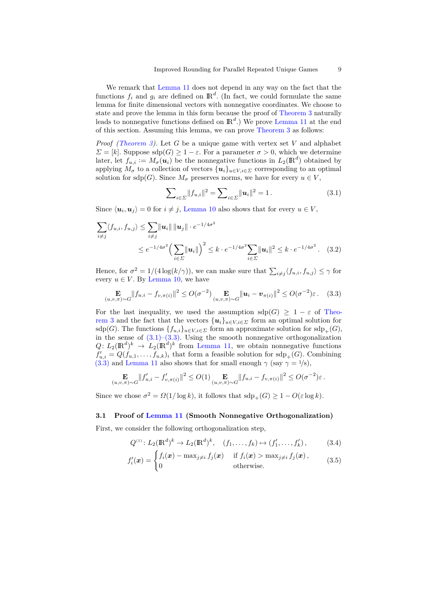We remark that [Lemma 11](#page-7-2) does not depend in any way on the fact that the functions  $f_i$  and  $g_i$  are defined on  $\mathbb{R}^d$ . (In fact, we could formulate the same lemma for finite dimensional vectors with nonnegative coordinates. We choose to state and prove the lemma in this form because the proof of [Theorem 3](#page-3-0) naturally leads to nonnegative functions defined on IR*<sup>d</sup>* .) We prove [Lemma 11](#page-7-2) at the end of this section. Assuming this lemma, we can prove [Theorem 3](#page-3-0) as follows:

*Proof [\(Theorem 3\)](#page-3-0).* Let *G* be a unique game with vertex set *V* and alphabet *Σ* = [*k*]. Suppose sdp(*G*) ≥ 1 − *ε*. For a parameter  $σ > 0$ , which we determine later, let  $f_{u,i} := M_{\sigma}(u_i)$  be the nonnegative functions in  $L_2(\mathbb{R}^d)$  obtained by applying  $M_{\sigma}$  to a collection of vectors  $\{u_i\}_{u \in V, i \in \Sigma}$  corresponding to an optimal solution for sdp(*G*). Since  $M_{\sigma}$  preserves norms, we have for every  $u \in V$ ,

<span id="page-8-1"></span>
$$
\sum_{i \in \Sigma} ||f_{u,i}||^2 = \sum_{i \in \Sigma} ||u_i||^2 = 1.
$$
 (3.1)

Since  $\langle u_i, u_j \rangle = 0$  for  $i \neq j$ , [Lemma 10](#page-7-3) also shows that for every  $u \in V$ ,

$$
\sum_{i \neq j} \langle f_{u,i}, f_{u,j} \rangle \leq \sum_{i \neq j} ||u_i|| \, ||u_j|| \cdot e^{-1/4\sigma^2} \\
\leq e^{-1/4\sigma^2} \Big( \sum_{i \in \Sigma} ||u_i|| \Big)^2 \leq k \cdot e^{-1/4\sigma^2} \sum_{i \in \Sigma} ||u_i||^2 \leq k \cdot e^{-1/4\sigma^2}. \tag{3.2}
$$

Hence, for  $\sigma^2 = 1/(4 \log(k/\gamma))$ , we can make sure that  $\sum_{i \neq j} \langle f_{u,i}, f_{u,j} \rangle \leq \gamma$  for every  $u \in V$ . By [Lemma 10,](#page-7-3) we have

<span id="page-8-2"></span>
$$
\mathop{\mathbf{E}}_{(u,v,\pi)\sim G} \|f_{u,i} - f_{v,\pi(i)}\|^2 \leq O(\sigma^{-2}) \mathop{\mathbf{E}}_{(u,v,\pi)\sim G} \|u_i - v_{\pi(i)}\|^2 \leq O(\sigma^{-2})\varepsilon. \tag{3.3}
$$

For the last inequality, we used the assumption  $\text{sdp}(G) \geq 1 - \varepsilon$  of [Theo](#page-3-0)[rem 3](#page-3-0) and the fact that the vectors  $\{u_i\}_{u \in V, i \in \Sigma}$  form an optimal solution for sdp(*G*). The functions  ${f_{u,i}}_{u \in V, i \in \Sigma}$  form an approximate solution for sdp<sub>+</sub>(*G*), in the sense of  $(3.1)$ – $(3.3)$ . Using the smooth nonnegative orthogonalization  $Q: L_2(\mathbb{R}^d)^k \to L_2(\mathbb{R}^d)^k$  from [Lemma 11,](#page-7-2) we obtain nonnegative functions  $f'_{u,i} = Q(f_{u,1}, \ldots, f_{u,k})$ <sub>*i*</sub> that form a feasible solution for sdp<sub>+</sub>(*G*). Combining [\(3.3\)](#page-8-2) and [Lemma 11](#page-7-2) also shows that for small enough  $\gamma$  (say  $\gamma = 1/8$ ),

$$
\mathop{\mathbf{E}}_{(u,v,\pi)\sim G} \|f'_{u,i} - f'_{v,\pi(i)}\|^2 \leq O(1) \mathop{\mathbf{E}}_{(u,v,\pi)\sim G} \|f_{u,i} - f_{v,\pi(i)}\|^2 \leq O(\sigma^{-2})\varepsilon.
$$

Since we chose  $\sigma^2 = \Omega(1/\log k)$ , it follows that  $\text{sdp}_+(G) \geq 1 - O(\varepsilon \log k)$ .

#### <span id="page-8-0"></span>**3.1 Proof of [Lemma 11](#page-7-2) (Smooth Nonnegative Orthogonalization)**

First, we consider the following orthogonalization step,

$$
Q^{(1)}: L_2(\mathbb{R}^d)^k \to L_2(\mathbb{R}^d)^k, \quad (f_1, \dots, f_k) \mapsto (f'_1, \dots, f'_k), \tag{3.4}
$$

$$
f'_{i}(\boldsymbol{x}) = \begin{cases} f_{i}(\boldsymbol{x}) - \max_{j \neq i} f_{j}(\boldsymbol{x}) & \text{if } f_{i}(\boldsymbol{x}) > \max_{j \neq i} f_{j}(\boldsymbol{x}), \\ 0 & \text{otherwise.} \end{cases}
$$
(3.5)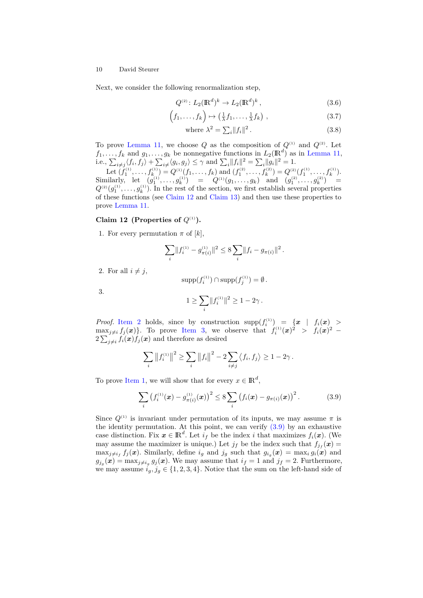Next, we consider the following renormalization step,

$$
Q^{(2)}: L_2(\mathbb{R}^d)^k \to L_2(\mathbb{R}^d)^k, \qquad (3.6)
$$

$$
(f_1, \ldots, f_k) \mapsto \left(\frac{1}{\lambda} f_1, \ldots, \frac{1}{\lambda} f_k\right) , \qquad (3.7)
$$

where 
$$
\lambda^2 = \sum_i ||f_i||^2.
$$
 (3.8)

To prove [Lemma 11,](#page-7-2) we choose  $Q$  as the composition of  $Q^{(1)}$  and  $Q^{(2)}$ . Let  $f_1, \ldots, f_k$  and  $g_1, \ldots, g_k$  be nonnegative functions in  $L_2(\mathbb{R}^d)$  as in [Lemma 11,](#page-7-2) i.e.,  $\sum_{i \neq j} \langle f_i, f_j \rangle + \sum_{i \neq} \langle g_i, g_j \rangle \leq \gamma$  and  $\sum_i ||f_i||^2 = \sum_i ||g_i||^2 = 1$ .

Let  $(f_1^{(1)},...,f_k^{(1)}) = Q^{(1)}(f_1,...,f_k)$  and  $(f_1^{(2)},...,f_k^{(2)}) = Q^{(2)}(f_1^{(1)},...,f_k^{(1)})$ .  $\text{Similarly, let } (g_1^{(1)}, \ldots, g_k^{(1)}) = Q^{(1)}(g_1, \ldots, g_k) \text{ and } (g_1^{(2)}, \ldots, g_k^{(2)}) =$  $Q^{(2)}(g_1^{(1)}, \ldots, g_k^{(1)})$ . In the rest of the section, we first establish several properties of these functions (see [Claim 12](#page-9-0) and [Claim 13\)](#page-10-0) and then use these properties to prove [Lemma 11.](#page-7-2)

### <span id="page-9-0"></span>**Claim 12** (Properties of  $Q^{(1)}$ ).

<span id="page-9-3"></span>1. For every permutation  $\pi$  of  $[k]$ ,

$$
\sum_{i} \|f_i^{(1)} - g_{\pi(i)}^{(1)}\|^2 \le 8 \sum_{i} \|f_i - g_{\pi(i)}\|^2.
$$

<span id="page-9-1"></span>2. For all  $i \neq j$ ,

$$
\operatorname{supp}(f_i^{(1)}) \cap \operatorname{supp}(f_j^{(1)}) = \emptyset.
$$

<span id="page-9-2"></span>3.

$$
1 \ge \sum_i ||f_i^{(1)}||^2 \ge 1 - 2\gamma \, .
$$

*Proof.* [Item 2](#page-9-1) holds, since by construction  $\text{supp}(f_i^{(1)}) = \{x \mid f_i(x) \geq 0\}$  $\max_{j\neq i} f_j(\boldsymbol{x})\}.$  To prove [Item 3,](#page-9-2) we observe that  $f_i^{(1)}(\boldsymbol{x})^2 > f_i(\boldsymbol{x})^2$  $2\sum_{j\neq i} f_i(\boldsymbol{x}) f_j(\boldsymbol{x})$  and therefore as desired

$$
\sum_{i} ||f_i^{(1)}||^2 \ge \sum_{i} ||f_i||^2 - 2 \sum_{i \ne j} \langle f_i, f_j \rangle \ge 1 - 2\gamma.
$$

To prove [Item 1,](#page-9-3) we will show that for every  $x \in \mathbb{R}^d$ ,

<span id="page-9-4"></span>
$$
\sum_{i} \left( f_i^{(1)}(\boldsymbol{x}) - g_{\pi(i)}^{(1)}(\boldsymbol{x}) \right)^2 \le 8 \sum_{i} \left( f_i(\boldsymbol{x}) - g_{\pi(i)}(\boldsymbol{x}) \right)^2. \tag{3.9}
$$

Since  $Q^{(1)}$  is invariant under permutation of its inputs, we may assume  $\pi$  is the identity permutation. At this point, we can verify  $(3.9)$  by an exhaustive case distinction. Fix  $x \in \mathbb{R}^d$ . Let  $i_f$  be the index *i* that maximizes  $f_i(x)$ . (We may assume the maximizer is unique.) Let  $j_f$  be the index such that  $f_{j_f}(\mathbf{x}) =$  $\max_{j \neq i_f} f_j(\boldsymbol{x})$ . Similarly, define  $i_g$  and  $j_g$  such that  $g_{i_g}(\boldsymbol{x}) = \max_i g_i(\boldsymbol{x})$  and  $g_{j_g}(\boldsymbol{x}) = \max_{j \neq i_g} g_j(\boldsymbol{x})$ . We may assume that  $i_f = 1$  and  $j_f = 2$ . Furthermore, we may assume  $i_g, j_g \in \{1, 2, 3, 4\}$ . Notice that the sum on the left-hand side of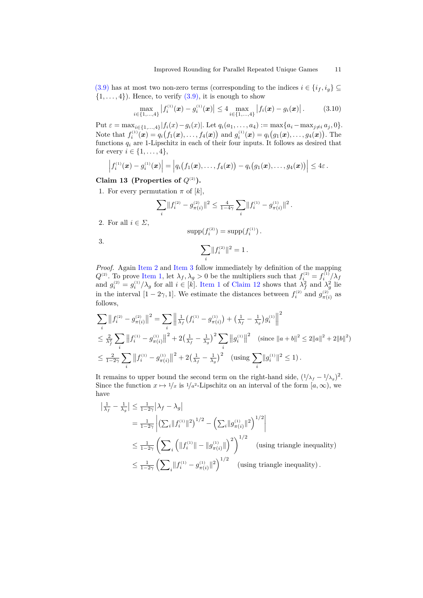[\(3.9\)](#page-9-4) has at most two non-zero terms (corresponding to the indices  $i \in \{i_f, i_g\} \subseteq$  $\{1, \ldots, 4\}$ ). Hence, to verify  $(3.9)$ , it is enough to show

$$
\max_{i \in \{1,\ldots,4\}} |f_i^{(1)}(\boldsymbol{x}) - g_i^{(1)}(\boldsymbol{x})| \le 4 \max_{i \in \{1,\ldots,4\}} |f_i(\boldsymbol{x}) - g_i(\boldsymbol{x})|.
$$
 (3.10)

Put  $\varepsilon = \max_{i \in \{1, ..., 4\}} |f_i(x) - g_i(x)|$ . Let  $q_i(a_1, ..., a_4) := \max\{a_i - \max_{j \neq i} a_j, 0\}$ . Note that  $f_i^{(1)}(\mathbf{x}) = q_i(f_1(\mathbf{x}),...,f_4(\mathbf{x}))$  and  $g_i^{(1)}(\mathbf{x}) = q_i(g_1(\mathbf{x}),...,g_4(\mathbf{x}))$ . The functions  $q_i$  are 1-Lipschitz in each of their four inputs. It follows as desired that for every  $i \in \{1, ..., 4\},\$ 

$$
\left|f_i^{(1)}(\bm{x})-g_i^{(1)}(\bm{x})\right| = \left|q_i\big(f_1(\bm{x}),\ldots,f_4(\bm{x})\big)-q_i\big(g_1(\bm{x}),\ldots,g_4(\bm{x})\big)\right| \leq 4\varepsilon.
$$

# <span id="page-10-0"></span>**Claim 13 (Properties of**  $Q^{(2)}$ ).

<span id="page-10-3"></span>1. For every permutation  $\pi$  of  $[k]$ ,

$$
\sum_i \lVert f_i^{(2)} - g_{\pi(i)}^{(2)} \rVert^2 \leq \tfrac{4}{1-4\gamma}\sum_i \lVert f_i^{(1)} - g_{\pi(i)}^{(1)} \rVert^2
$$

*.*

<span id="page-10-1"></span>2. For all  $i \in \Sigma$ ,

$$
supp(f_i^{(2)}) = supp(f_i^{(1)}) .
$$

<span id="page-10-2"></span>3.

$$
\sum_i \lVert f_i^{_{(2)}} \rVert^2 = 1 \,.
$$

*Proof.* Again [Item 2](#page-10-1) and [Item 3](#page-10-2) follow immediately by definition of the mapping  $Q^{(2)}$ . To prove [Item 1,](#page-10-3) let  $\lambda_f, \lambda_g > 0$  be the multipliers such that  $f_i^{(2)} = f_i^{(1)}/\lambda_f$ and  $g_i^{(2)} = g_i^{(1)}/\lambda_g$  for all  $i \in [k]$ . [Item 1](#page-9-3) of [Claim 12](#page-9-0) shows that  $\lambda_f^2$  and  $\lambda_g^2$  lie in the interval  $[1 - 2\gamma, 1]$ . We estimate the distances between  $f_i^{(2)}$  and  $g_{\pi(i)}^{(2)}$  as follows,

$$
\sum_{i} \left\|f_{i}^{(2)} - g_{\pi(i)}^{(2)}\right\|^{2} = \sum_{i} \left\|\frac{1}{\lambda_{f}}\left(f_{i}^{(1)} - g_{\pi(i)}^{(1)}\right) + \left(\frac{1}{\lambda_{f}} - \frac{1}{\lambda_{g}}\right)g_{i}^{(1)}\right\|^{2}
$$
\n
$$
\leq \frac{2}{\lambda_{f}^{2}} \sum_{i} \left\|f_{i}^{(1)} - g_{\pi(i)}^{(1)}\right\|^{2} + 2\left(\frac{1}{\lambda_{f}} - \frac{1}{\lambda_{g}}\right)^{2} \sum_{i} \left\|g_{i}^{(1)}\right\|^{2} \quad \text{(since } \|a + b\|^{2} \leq 2\|a\|^{2} + 2\|b\|^{2})
$$
\n
$$
\leq \frac{2}{1 - 2\gamma} \sum_{i} \left\|f_{i}^{(1)} - g_{\pi(i)}^{(1)}\right\|^{2} + 2\left(\frac{1}{\lambda_{f}} - \frac{1}{\lambda_{g}}\right)^{2} \quad \text{(using } \sum_{i} \|g_{i}^{(1)}\|^{2} \leq 1).
$$

It remains to upper bound the second term on the right-hand side,  $(1/\lambda_f - 1/\lambda_g)^2$ . Since the function  $x \mapsto 1/x$  is  $1/a^2$ -Lipschitz on an interval of the form  $[a,\infty)$ , we have

$$
\left|\frac{1}{\lambda_f} - \frac{1}{\lambda_g}\right| \le \frac{1}{1-2\gamma} \left|\lambda_f - \lambda_g\right|
$$
  
\n
$$
= \frac{1}{1-2\gamma} \left| \left( \sum_i \|f_i^{(1)}\|^2 \right)^{1/2} - \left( \sum_i \|g_{\pi(i)}^{(1)}\|^2 \right)^{1/2} \right|
$$
  
\n
$$
\le \frac{1}{1-2\gamma} \left( \sum_i \left( \|f_i^{(1)}\| - \|g_{\pi(i)}^{(1)}\| \right)^2 \right)^{1/2} \quad \text{(using triangle inequality)}
$$
  
\n
$$
\le \frac{1}{1-2\gamma} \left( \sum_i \|f_i^{(1)} - g_{\pi(i)}^{(1)}\|^2 \right)^{1/2} \quad \text{(using triangle inequality)}.
$$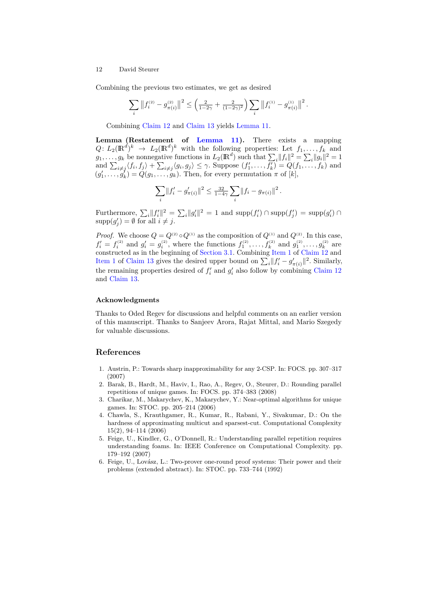Combining the previous two estimates, we get as desired

$$
\sum_i \left\|f_i^{\scriptscriptstyle (2)}-g_{\pi(i)}^{\scriptscriptstyle (2)}\right\|^2 \leq \left(\tfrac{2}{1-2\gamma}+\tfrac{2}{(1-2\gamma)^2}\right)\sum_i \left\|f_i^{\scriptscriptstyle (1)}-g_{\pi(i)}^{\scriptscriptstyle (1)}\right\|^2.
$$

Combining [Claim 12](#page-9-0) and [Claim 13](#page-10-0) yields [Lemma 11.](#page-7-2)

**Lemma (Restatement of [Lemma 11\)](#page-7-2).** There exists a mapping  $Q: L_2(\mathbb{R}^d)^k \to L_2(\mathbb{R}^d)^k$  with the following properties: Let  $f_1, \ldots, f_k$  and  $g_1, \ldots, g_k$  be nonnegative functions in  $L_2(\mathbb{R}^d)$  such that  $\sum_i ||f_i||^2 = \sum_i ||g_i||^2 = 1$ and  $\sum_{i\neq j}\langle f_i, f_j\rangle + \sum_{i\neq j}\langle g_i, g_j\rangle \leq \gamma$ . Suppose  $(f'_1, \ldots, f'_k) = Q(f_1, \ldots, f_k)$  and  $(g'_1, \ldots, g'_k) = Q(g_1, \ldots, g_k)$ . Then, for every permutation  $\pi$  of  $[k]$ ,

$$
\sum_{i} ||f'_i - g'_{\pi(i)}||^2 \le \frac{32}{1-4\gamma} \sum_{i} ||f_i - g_{\pi(i)}||^2.
$$

Furthermore,  $\sum_i ||f'_i||^2 = \sum_i ||g'_i||^2 = 1$  and  $\text{supp}(f'_i) \cap \text{supp}(f'_j) = \text{supp}(g'_i) \cap$  $\text{supp}(g'_j) = \emptyset$  for all  $i \neq j$ .

*Proof.* We choose  $Q = Q^{(2)} \circ Q^{(1)}$  as the composition of  $Q^{(1)}$  and  $Q^{(2)}$ . In this case,  $f'_i = f_i^{(2)}$  and  $g'_i = g_i^{(2)}$ , where the functions  $f_1^{(2)}, \ldots, f_k^{(2)}$  and  $g_1^{(2)}, \ldots, g_k^{(2)}$  are constructed as in the beginning of [Section 3.1.](#page-8-0) Combining [Item 1](#page-9-3) of [Claim 12](#page-9-0) and [Item 1](#page-10-3) of [Claim 13](#page-10-0) gives the desired upper bound on  $\sum_{i} ||f'_{i} - g'_{\pi(i)}||^2$ . Similarly, the remaining properties desired of  $f_i'$  and  $g_i'$  also follow by combining [Claim 12](#page-9-0) and [Claim 13.](#page-10-0)

#### **Acknowledgments**

Thanks to Oded Regev for discussions and helpful comments on an earlier version of this manuscript. Thanks to Sanjeev Arora, Rajat Mittal, and Mario Szegedy for valuable discussions.

#### **References**

- <span id="page-11-1"></span>1. Austrin, P.: Towards sharp inapproximability for any 2-CSP. In: FOCS. pp. 307–317 (2007)
- <span id="page-11-3"></span>2. Barak, B., Hardt, M., Haviv, I., Rao, A., Regev, O., Steurer, D.: Rounding parallel repetitions of unique games. In: FOCS. pp. 374–383 (2008)
- <span id="page-11-5"></span>3. Charikar, M., Makarychev, K., Makarychev, Y.: Near-optimal algorithms for unique games. In: STOC. pp. 205–214 (2006)
- <span id="page-11-0"></span>4. Chawla, S., Krauthgamer, R., Kumar, R., Rabani, Y., Sivakumar, D.: On the hardness of approximating multicut and sparsest-cut. Computational Complexity 15(2), 94–114 (2006)
- <span id="page-11-2"></span>5. Feige, U., Kindler, G., O'Donnell, R.: Understanding parallel repetition requires understanding foams. In: IEEE Conference on Computational Complexity. pp. 179–192 (2007)
- <span id="page-11-4"></span>6. Feige, U., Lov´asz, L.: Two-prover one-round proof systems: Their power and their problems (extended abstract). In: STOC. pp. 733–744 (1992)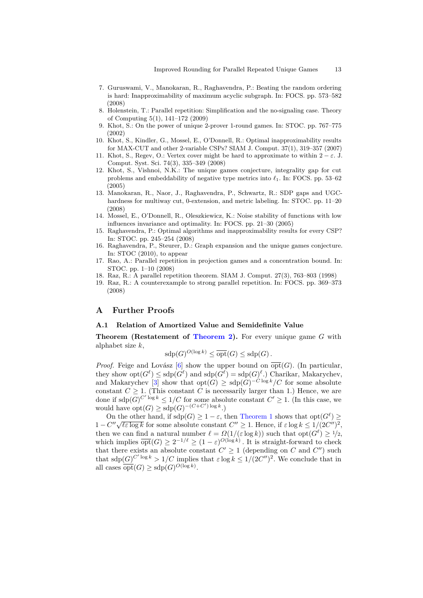- <span id="page-12-7"></span>7. Guruswami, V., Manokaran, R., Raghavendra, P.: Beating the random ordering is hard: Inapproximability of maximum acyclic subgraph. In: FOCS. pp. 573–582 (2008)
- <span id="page-12-10"></span>8. Holenstein, T.: Parallel repetition: Simplification and the no-signaling case. Theory of Computing 5(1), 141–172 (2009)
- <span id="page-12-0"></span>9. Khot, S.: On the power of unique 2-prover 1-round games. In: STOC. pp. 767–775 (2002)
- <span id="page-12-2"></span>10. Khot, S., Kindler, G., Mossel, E., O'Donnell, R.: Optimal inapproximability results for MAX-CUT and other 2-variable CSPs? SIAM J. Comput. 37(1), 319–357 (2007)
- <span id="page-12-1"></span>11. Khot, S., Regev, O.: Vertex cover might be hard to approximate to within  $2 - \varepsilon$ . J. Comput. Syst. Sci. 74(3), 335–349 (2008)
- <span id="page-12-4"></span>12. Khot, S., Vishnoi, N.K.: The unique games conjecture, integrality gap for cut problems and embeddability of negative type metrics into  $\ell_1$ . In: FOCS. pp. 53–62 (2005)
- <span id="page-12-6"></span>13. Manokaran, R., Naor, J., Raghavendra, P., Schwartz, R.: SDP gaps and UGChardness for multiway cut, 0-extension, and metric labeling. In: STOC. pp. 11–20 (2008)
- <span id="page-12-3"></span>14. Mossel, E., O'Donnell, R., Oleszkiewicz, K.: Noise stability of functions with low influences invariance and optimality. In: FOCS. pp. 21–30 (2005)
- <span id="page-12-5"></span>15. Raghavendra, P.: Optimal algorithms and inapproximability results for every CSP? In: STOC. pp. 245–254 (2008)
- <span id="page-12-8"></span>16. Raghavendra, P., Steurer, D.: Graph expansion and the unique games conjecture. In: STOC (2010), to appear
- <span id="page-12-11"></span>17. Rao, A.: Parallel repetition in projection games and a concentration bound. In: STOC. pp. 1–10 (2008)
- <span id="page-12-9"></span>18. Raz, R.: A parallel repetition theorem. SIAM J. Comput. 27(3), 763–803 (1998)
- <span id="page-12-12"></span>19. Raz, R.: A counterexample to strong parallel repetition. In: FOCS. pp. 369–373 (2008)

## **A Further Proofs**

## <span id="page-12-13"></span>**A.1 Relation of Amortized Value and Semidefinite Value**

**Theorem (Restatement of [Theorem 2\)](#page-2-1).** For every unique game *G* with alphabet size *k*,

$$
\text{sdp}(G)^{O(\log k)} \le \overline{\text{opt}}(G) \le \text{sdp}(G).
$$

*Proof.* Feige and Lovász [\[6\]](#page-11-4) show the upper bound on  $\overline{opt}(G)$ . (In particular, they show  $opt(G^{\ell}) \leq sdp(G^{\ell})$  and  $sdp(G^{\ell}) = sdp(G)^{\ell}$ .) Charikar, Makarychev, and Makarychev [\[3\]](#page-11-5) show that  $opt(G) \geq sdp(G)^{-C \log k}/C$  for some absolute constant  $C \geq 1$ . (This constant *C* is necessarily larger than 1.) Hence, we are done if  $\text{sdp}(G)^{C' \log k} \leq 1/C$  for some absolute constant  $C' \geq 1$ . (In this case, we would have  $opt(G) \geq sdp(G)^{-(C+C')\log k}$ .

On the other hand, if  $\text{sdp}(G) \geq 1 - \varepsilon$ , then [Theorem 1](#page-2-0) shows that  $\text{opt}(G^{\ell}) \geq 1$  $1 - C'' \sqrt{\ell \epsilon \log k}$  for some absolute constant *C*<sup>*n*</sup> ≥ 1. Hence, if  $\epsilon \log k \le 1/(2C'')^2$ , then we can find a natural number  $\ell = \Omega(1/(\varepsilon \log k))$  such that  $opt(G^{\ell}) \geq 1/2$ , which implies  $\overline{\text{opt}}(G) \geq 2^{-1/\ell} \geq (1 - \varepsilon)^{O(\log k)}$ . It is straight-forward to check that there exists an absolute constant  $C' \geq 1$  (depending on *C* and  $C''$ ) such that  $\text{sdp}(G)^{C' \log k} > 1/C$  implies that  $\varepsilon \log k \leq 1/(2C'')^2$ . We conclude that in all cases  $\overline{\text{opt}}(G) \ge \text{sdp}(G)^{O(\log k)}$ .